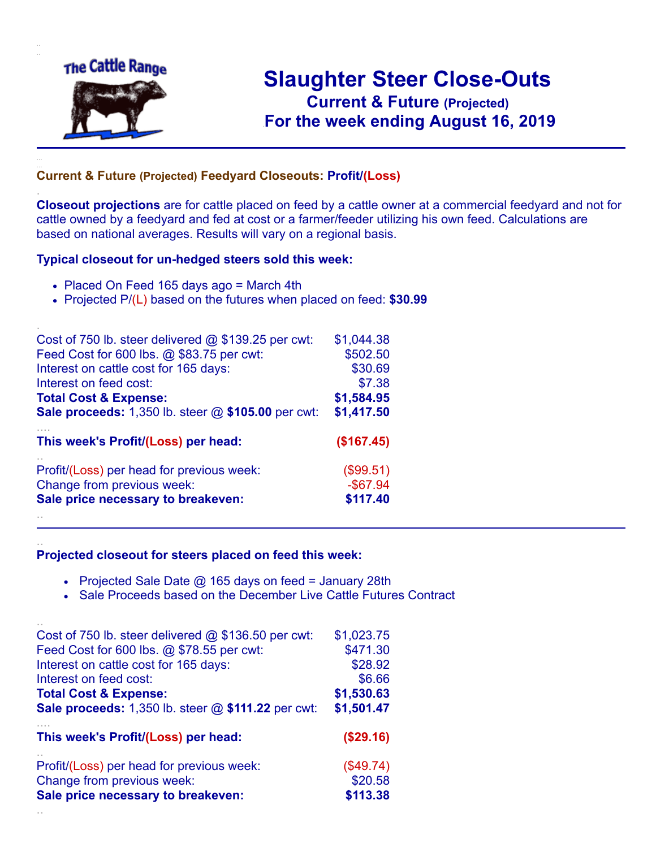

.

..

# **Slaughter Steer Close-Outs Current & Future (Projected)** .**For the week ending August 16, 2019**

## **Current & Future (Projected) Feedyard Closeouts: Profit/(Loss)**

**Closeout projections** are for cattle placed on feed by a cattle owner at a commercial feedyard and not for cattle owned by a feedyard and fed at cost or a farmer/feeder utilizing his own feed. Calculations are based on national averages. Results will vary on a regional basis.

#### **Typical closeout for un-hedged steers sold this week:**

- Placed On Feed 165 days ago = March 4th
- Projected P/(L) based on the futures when placed on feed: **\$30.99**

| Cost of 750 lb. steer delivered $@$ \$139.25 per cwt: | \$1,044.38  |
|-------------------------------------------------------|-------------|
| Feed Cost for 600 lbs. @ \$83.75 per cwt:             | \$502.50    |
| Interest on cattle cost for 165 days:                 | \$30.69     |
| Interest on feed cost:                                | \$7.38      |
| <b>Total Cost &amp; Expense:</b>                      | \$1,584.95  |
| Sale proceeds: 1,350 lb. steer @ \$105.00 per cwt:    | \$1,417.50  |
| This week's Profit/(Loss) per head:                   | (\$167.45)  |
| Profit/(Loss) per head for previous week:             | (\$99.51)   |
| Change from previous week:                            | $-$ \$67.94 |
| Sale price necessary to breakeven:                    | \$117.40    |
|                                                       |             |

### **Projected closeout for steers placed on feed this week:**

- Projected Sale Date  $@$  165 days on feed = January 28th
- Sale Proceeds based on the December Live Cattle Futures Contract

| Cost of 750 lb. steer delivered $@$ \$136.50 per cwt:     | \$1,023.75 |
|-----------------------------------------------------------|------------|
| Feed Cost for 600 lbs. @ \$78.55 per cwt:                 | \$471.30   |
| Interest on cattle cost for 165 days:                     | \$28.92    |
| Interest on feed cost:                                    | \$6.66     |
| <b>Total Cost &amp; Expense:</b>                          | \$1,530.63 |
| <b>Sale proceeds:</b> 1,350 lb. steer @ \$111.22 per cwt: | \$1,501.47 |
| This week's Profit/(Loss) per head:                       | (\$29.16)  |
| Profit/(Loss) per head for previous week:                 | (\$49.74)  |
| Change from previous week:                                | \$20.58    |
| Sale price necessary to breakeven:                        | \$113.38   |
|                                                           |            |